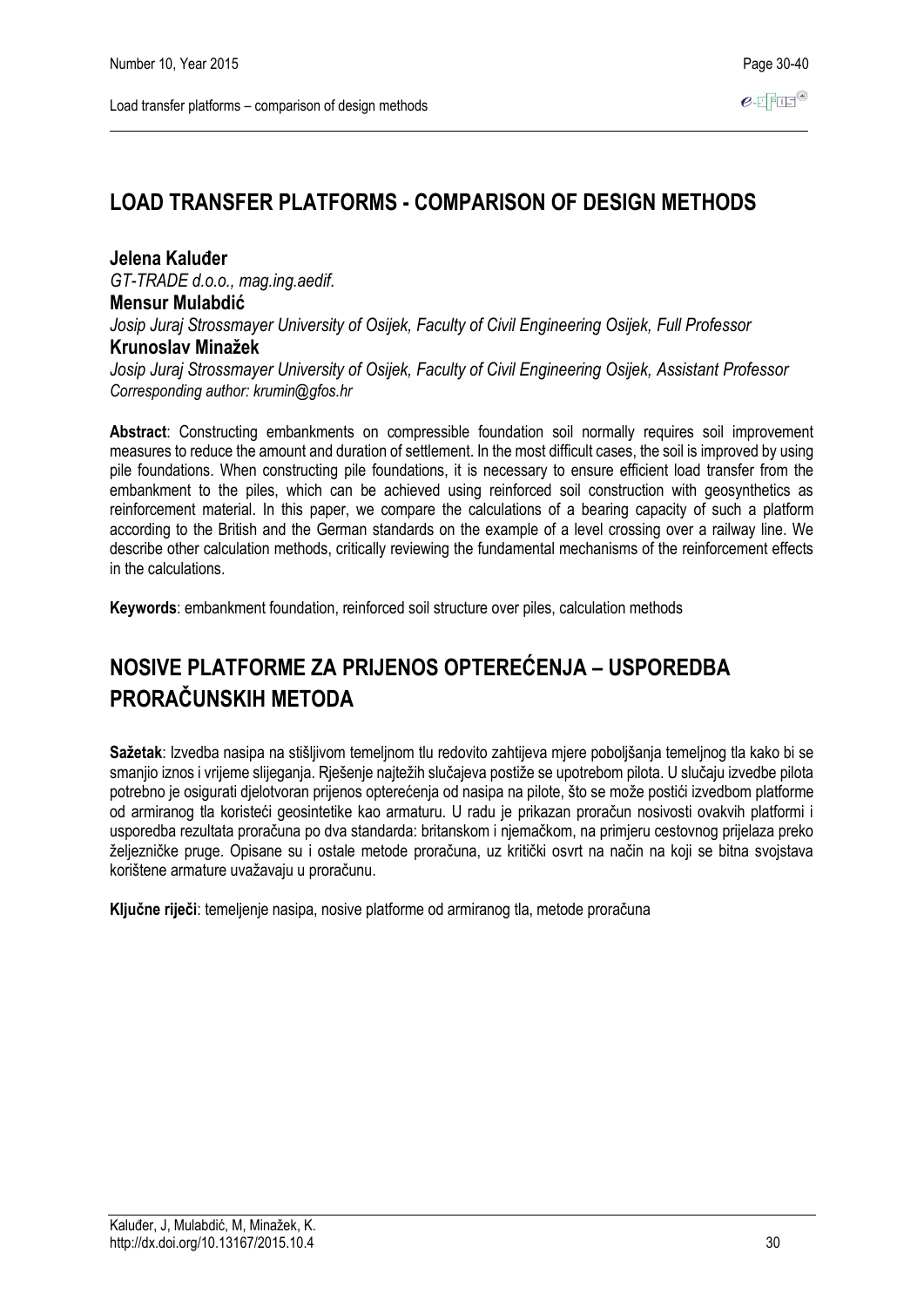# **LOAD TRANSFER PLATFORMS - COMPARISON OF DESIGN METHODS**

# **Jelena Kaluđer**

*GT-TRADE d.o.o., mag.ing.aedif.* **Mensur Mulabdić** *Josip Juraj Strossmayer University of Osijek, Faculty of Civil Engineering Osijek, Full Professor* **Krunoslav Minažek**

*Josip Juraj Strossmayer University of Osijek, Faculty of Civil Engineering Osijek, Assistant Professor Corresponding author: krumin@gfos.hr*

**Abstract**: Constructing embankments on compressible foundation soil normally requires soil improvement measures to reduce the amount and duration of settlement. In the most difficult cases, the soil is improved by using pile foundations. When constructing pile foundations, it is necessary to ensure efficient load transfer from the embankment to the piles, which can be achieved using reinforced soil construction with geosynthetics as reinforcement material. In this paper, we compare the calculations of a bearing capacity of such a platform according to the British and the German standards on the example of a level crossing over a railway line. We describe other calculation methods, critically reviewing the fundamental mechanisms of the reinforcement effects in the calculations.

**Keywords**: embankment foundation, reinforced soil structure over piles, calculation methods

# **NOSIVE PLATFORME ZA PRIJENOS OPTEREĆENJA – USPOREDBA PRORAČUNSKIH METODA**

**Sažetak**: Izvedba nasipa na stišljivom temeljnom tlu redovito zahtijeva mjere poboljšanja temeljnog tla kako bi se smanjio iznos i vrijeme slijeganja. Rješenje najtežih slučajeva postiže se upotrebom pilota. U slučaju izvedbe pilota potrebno je osigurati djelotvoran prijenos opterećenja od nasipa na pilote, što se može postići izvedbom platforme od armiranog tla koristeći geosintetike kao armaturu. U radu je prikazan proračun nosivosti ovakvih platformi i usporedba rezultata proračuna po dva standarda: britanskom i njemačkom, na primjeru cestovnog prijelaza preko željezničke pruge. Opisane su i ostale metode proračuna, uz kritički osvrt na način na koji se bitna svojstava korištene armature uvažavaju u proračunu.

**Ključne riječi**: temeljenje nasipa, nosive platforme od armiranog tla, metode proračuna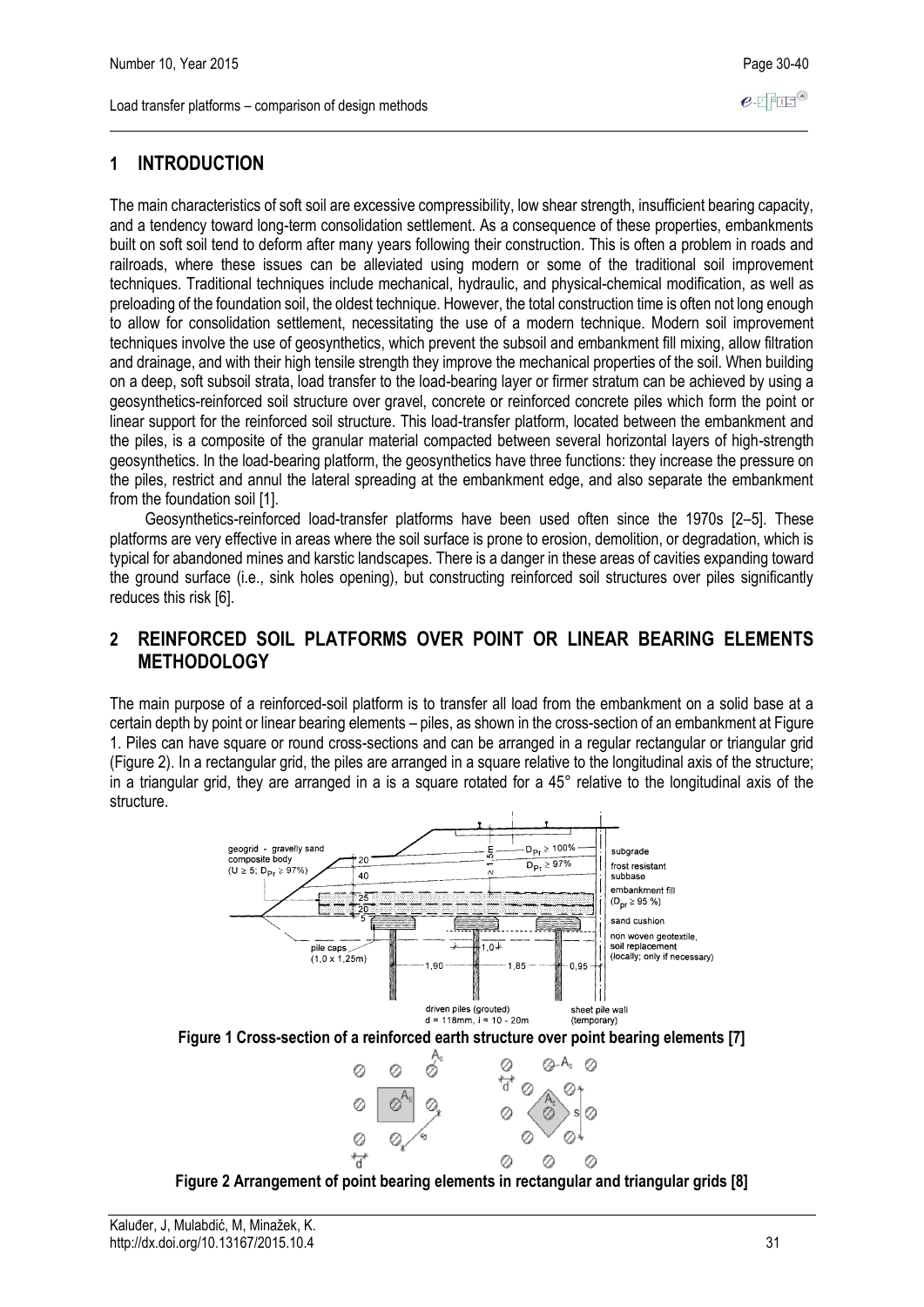# **1 INTRODUCTION**

The main characteristics of soft soil are excessive compressibility, low shear strength, insufficient bearing capacity, and a tendency toward long-term consolidation settlement. As a consequence of these properties, embankments built on soft soil tend to deform after many years following their construction. This is often a problem in roads and railroads, where these issues can be alleviated using modern or some of the traditional soil improvement techniques. Traditional techniques include mechanical, hydraulic, and physical-chemical modification, as well as preloading of the foundation soil, the oldest technique. However, the total construction time is often not long enough to allow for consolidation settlement, necessitating the use of a modern technique. Modern soil improvement techniques involve the use of geosynthetics, which prevent the subsoil and embankment fill mixing, allow filtration and drainage, and with their high tensile strength they improve the mechanical properties of the soil. When building on a deep, soft subsoil strata, load transfer to the load-bearing layer or firmer stratum can be achieved by using a geosynthetics-reinforced soil structure over gravel, concrete or reinforced concrete piles which form the point or linear support for the reinforced soil structure. This load-transfer platform, located between the embankment and the piles, is a composite of the granular material compacted between several horizontal layers of high-strength geosynthetics. In the load-bearing platform, the geosynthetics have three functions: they increase the pressure on the piles, restrict and annul the lateral spreading at the embankment edge, and also separate the embankment from the foundation soil [1].

Geosynthetics-reinforced load-transfer platforms have been used often since the 1970s [2–5]. These platforms are very effective in areas where the soil surface is prone to erosion, demolition, or degradation, which is typical for abandoned mines and karstic landscapes. There is a danger in these areas of cavities expanding toward the ground surface (i.e., sink holes opening), but constructing reinforced soil structures over piles significantly reduces this risk [6].

# **2 REINFORCED SOIL PLATFORMS OVER POINT OR LINEAR BEARING ELEMENTS METHODOLOGY**

The main purpose of a reinforced-soil platform is to transfer all load from the embankment on a solid base at a certain depth by point or linear bearing elements – piles, as shown in the cross-section of an embankment at Figure 1. Piles can have square or round cross-sections and can be arranged in a regular rectangular or triangular grid (Figure 2). In a rectangular grid, the piles are arranged in a square relative to the longitudinal axis of the structure; in a triangular grid, they are arranged in a is a square rotated for a 45° relative to the longitudinal axis of the structure.



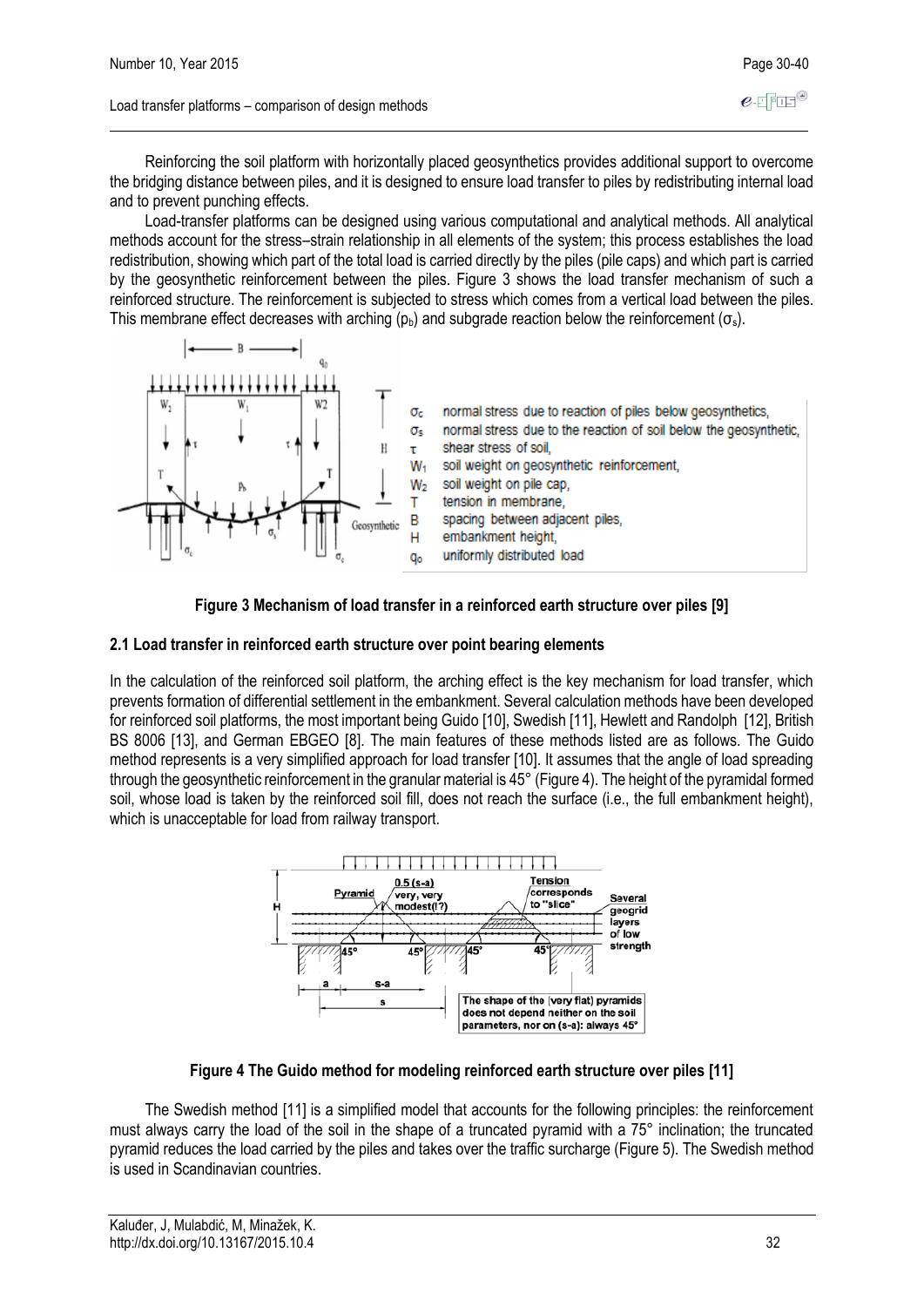Reinforcing the soil platform with horizontally placed geosynthetics provides additional support to overcome the bridging distance between piles, and it is designed to ensure load transfer to piles by redistributing internal load and to prevent punching effects.

Load-transfer platforms can be designed using various computational and analytical methods. All analytical methods account for the stress–strain relationship in all elements of the system; this process establishes the load redistribution, showing which part of the total load is carried directly by the piles (pile caps) and which part is carried by the geosynthetic reinforcement between the piles. Figure 3 shows the load transfer mechanism of such a reinforced structure. The reinforcement is subjected to stress which comes from a vertical load between the piles. This membrane effect decreases with arching ( $p<sub>b</sub>$ ) and subgrade reaction below the reinforcement ( $\sigma<sub>s</sub>$ ).





### **2.1 Load transfer in reinforced earth structure over point bearing elements**

In the calculation of the reinforced soil platform, the arching effect is the key mechanism for load transfer, which prevents formation of differential settlement in the embankment. Several calculation methods have been developed for reinforced soil platforms, the most important being Guido [10], Swedish [11], Hewlett and Randolph [12], British BS 8006 [13], and German EBGEO [8]. The main features of these methods listed are as follows. The Guido method represents is a very simplified approach for load transfer [10]. It assumes that the angle of load spreading through the geosynthetic reinforcement in the granular material is 45° (Figure 4). The height of the pyramidal formed soil, whose load is taken by the reinforced soil fill, does not reach the surface (i.e., the full embankment height), which is unacceptable for load from railway transport.



## **Figure 4 The Guido method for modeling reinforced earth structure over piles [11]**

The Swedish method [11] is a simplified model that accounts for the following principles: the reinforcement must always carry the load of the soil in the shape of a truncated pyramid with a 75° inclination; the truncated pyramid reduces the load carried by the piles and takes over the traffic surcharge (Figure 5). The Swedish method is used in Scandinavian countries.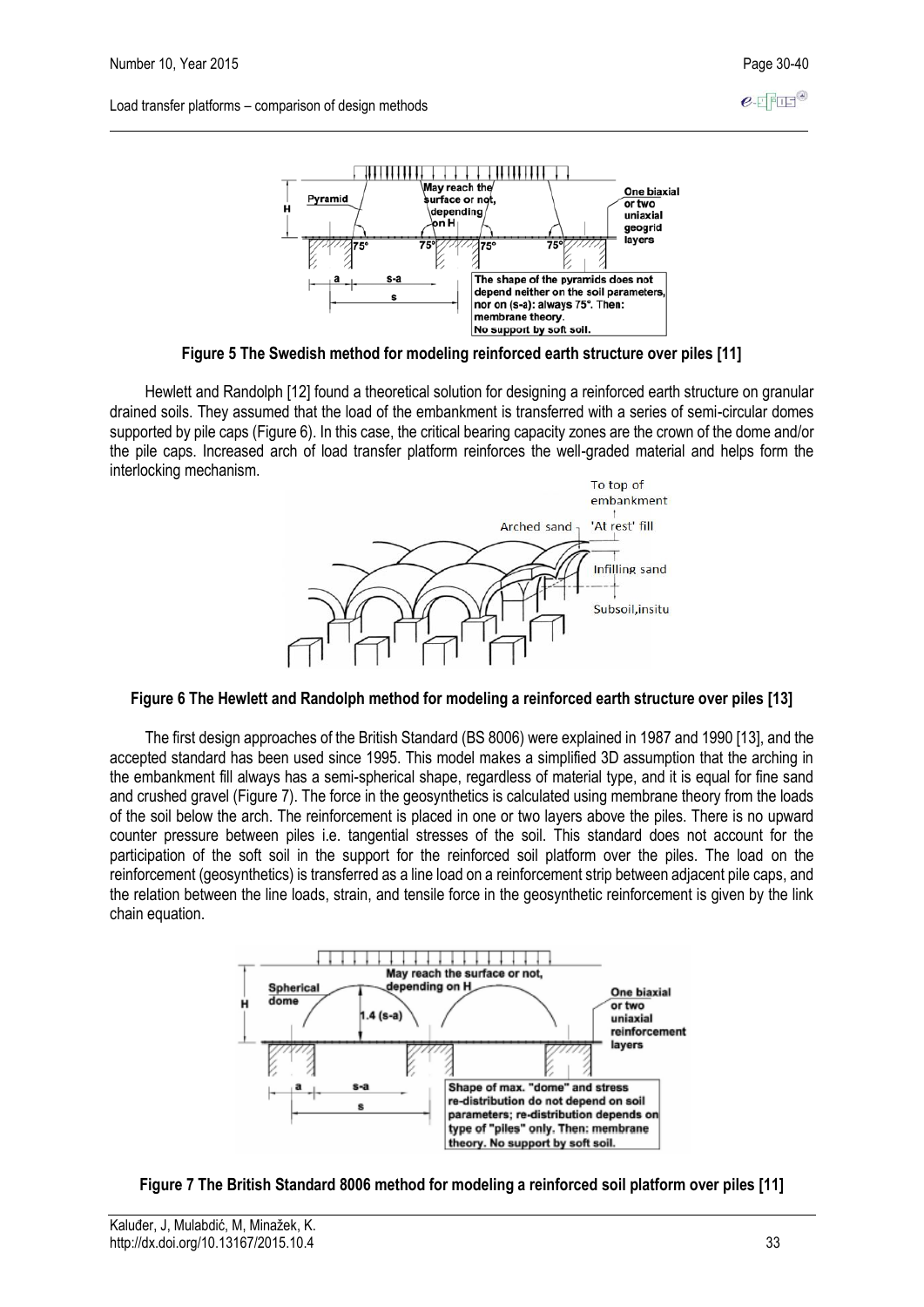

**Figure 5 The Swedish method for modeling reinforced earth structure over piles [11]**

Hewlett and Randolph [12] found a theoretical solution for designing a reinforced earth structure on granular drained soils. They assumed that the load of the embankment is transferred with a series of semi-circular domes supported by pile caps (Figure 6). In this case, the critical bearing capacity zones are the crown of the dome and/or the pile caps. Increased arch of load transfer platform reinforces the well-graded material and helps form the interlocking mechanism.



#### **Figure 6 The Hewlett and Randolph method for modeling a reinforced earth structure over piles [13]**

The first design approaches of the British Standard (BS 8006) were explained in 1987 and 1990 [13], and the accepted standard has been used since 1995. This model makes a simplified 3D assumption that the arching in the embankment fill always has a semi-spherical shape, regardless of material type, and it is equal for fine sand and crushed gravel (Figure 7). The force in the geosynthetics is calculated using membrane theory from the loads of the soil below the arch. The reinforcement is placed in one or two layers above the piles. There is no upward counter pressure between piles i.e. tangential stresses of the soil. This standard does not account for the participation of the soft soil in the support for the reinforced soil platform over the piles. The load on the reinforcement (geosynthetics) is transferred as a line load on a reinforcement strip between adjacent pile caps, and the relation between the line loads, strain, and tensile force in the geosynthetic reinforcement is given by the link chain equation.



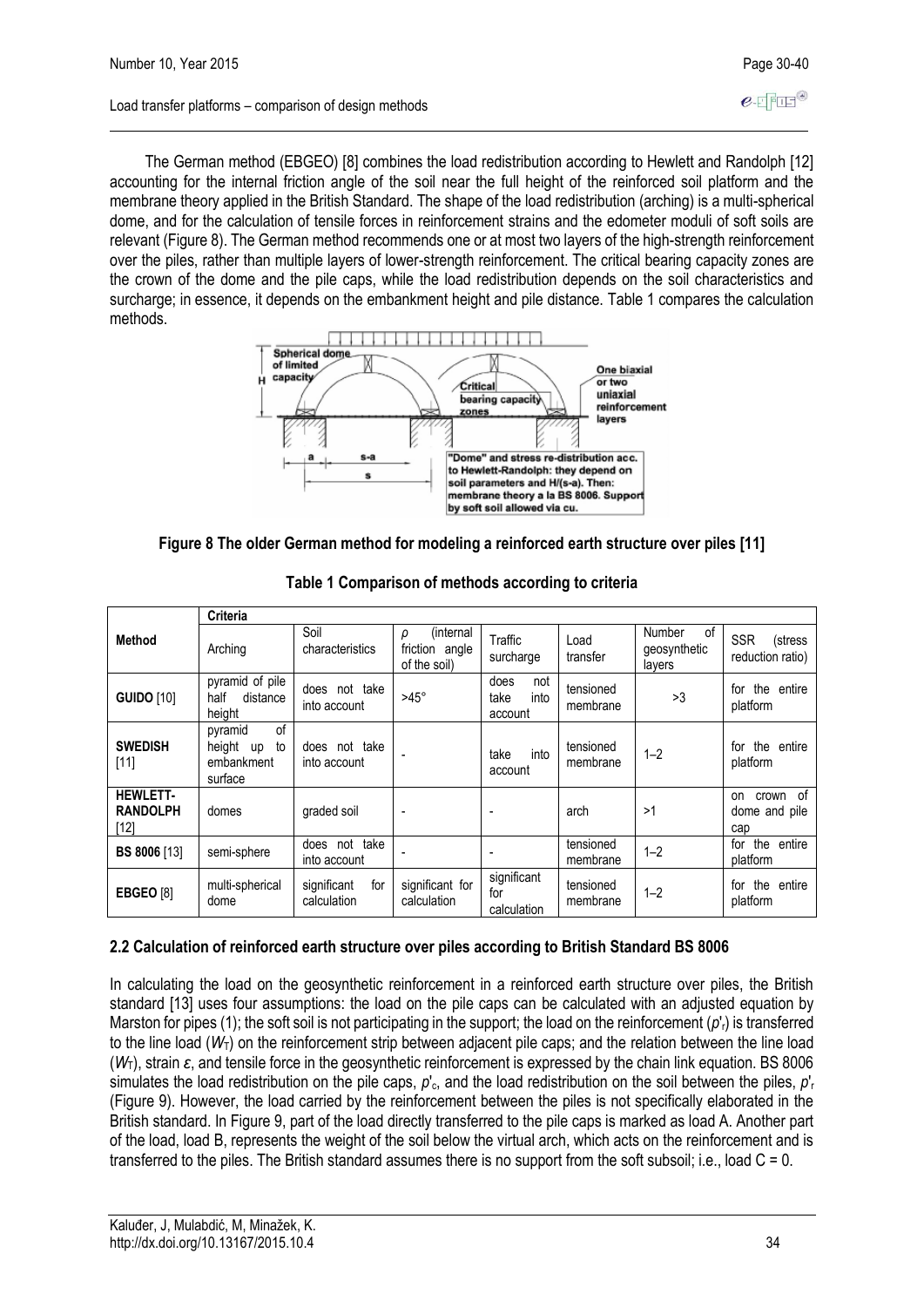$e$ -FFFF<sup>®</sup>

The German method (EBGEO) [8] combines the load redistribution according to Hewlett and Randolph [12] accounting for the internal friction angle of the soil near the full height of the reinforced soil platform and the membrane theory applied in the British Standard. The shape of the load redistribution (arching) is a multi-spherical dome, and for the calculation of tensile forces in reinforcement strains and the edometer moduli of soft soils are relevant (Figure 8). The German method recommends one or at most two layers of the high-strength reinforcement over the piles, rather than multiple layers of lower-strength reinforcement. The critical bearing capacity zones are the crown of the dome and the pile caps, while the load redistribution depends on the soil characteristics and surcharge; in essence, it depends on the embankment height and pile distance. Table 1 compares the calculation methods.



**Figure 8 The older German method for modeling a reinforced earth structure over piles [11]**

|                                            | <b>Criteria</b>                                              |                                   |                                                  |                                        |                       |                                               |                                             |
|--------------------------------------------|--------------------------------------------------------------|-----------------------------------|--------------------------------------------------|----------------------------------------|-----------------------|-----------------------------------------------|---------------------------------------------|
| <b>Method</b>                              | Arching                                                      | Soil<br>characteristics           | (internal<br>ρ<br>friction angle<br>of the soil) | Traffic<br>surcharge                   | Load<br>transfer      | οf<br><b>Number</b><br>geosynthetic<br>layers | <b>SSR</b><br>(stress<br>reduction ratio)   |
| <b>GUIDO [10]</b>                          | pyramid of pile<br>half<br>distance<br>height                | does not take<br>into account     | $>45^\circ$                                      | does<br>not<br>take<br>into<br>account | tensioned<br>membrane | >3                                            | the entire<br>for<br>platform               |
| <b>SWEDISH</b><br>[11]                     | of<br>pyramid<br>height<br>to<br>up<br>embankment<br>surface | does not take<br>into account     |                                                  | into<br>take<br>account                | tensioned<br>membrane | $1 - 2$                                       | the entire<br>for<br>platform               |
| <b>HEWLETT-</b><br><b>RANDOLPH</b><br>[12] | domes                                                        | graded soil                       |                                                  |                                        | arch                  | >1                                            | - of<br>crown<br>on<br>dome and pile<br>cap |
| <b>BS 8006 [13]</b>                        | semi-sphere                                                  | does not<br>take<br>into account  |                                                  |                                        | tensioned<br>membrane | $1 - 2$                                       | the<br>entire<br>for<br>platform            |
| <b>EBGEO</b> [8]                           | multi-spherical<br>dome                                      | significant<br>for<br>calculation | significant for<br>calculation                   | significant<br>for<br>calculation      | tensioned<br>membrane | $1 - 2$                                       | the entire<br>for<br>platform               |

**Table 1 Comparison of methods according to criteria**

## **2.2 Calculation of reinforced earth structure over piles according to British Standard BS 8006**

In calculating the load on the geosynthetic reinforcement in a reinforced earth structure over piles, the British standard [13] uses four assumptions: the load on the pile caps can be calculated with an adjusted equation by Marston for pipes (1); the soft soil is not participating in the support; the load on the reinforcement (*p*'r) is transferred to the line load ( $W_T$ ) on the reinforcement strip between adjacent pile caps; and the relation between the line load (*W*T), strain *ɛ*, and tensile force in the geosynthetic reinforcement is expressed by the chain link equation. BS 8006 simulates the load redistribution on the pile caps,  $p_c$ , and the load redistribution on the soil between the piles,  $p_c$ (Figure 9). However, the load carried by the reinforcement between the piles is not specifically elaborated in the British standard. In Figure 9, part of the load directly transferred to the pile caps is marked as load A. Another part of the load, load B, represents the weight of the soil below the virtual arch, which acts on the reinforcement and is transferred to the piles. The British standard assumes there is no support from the soft subsoil; i.e., load C = 0.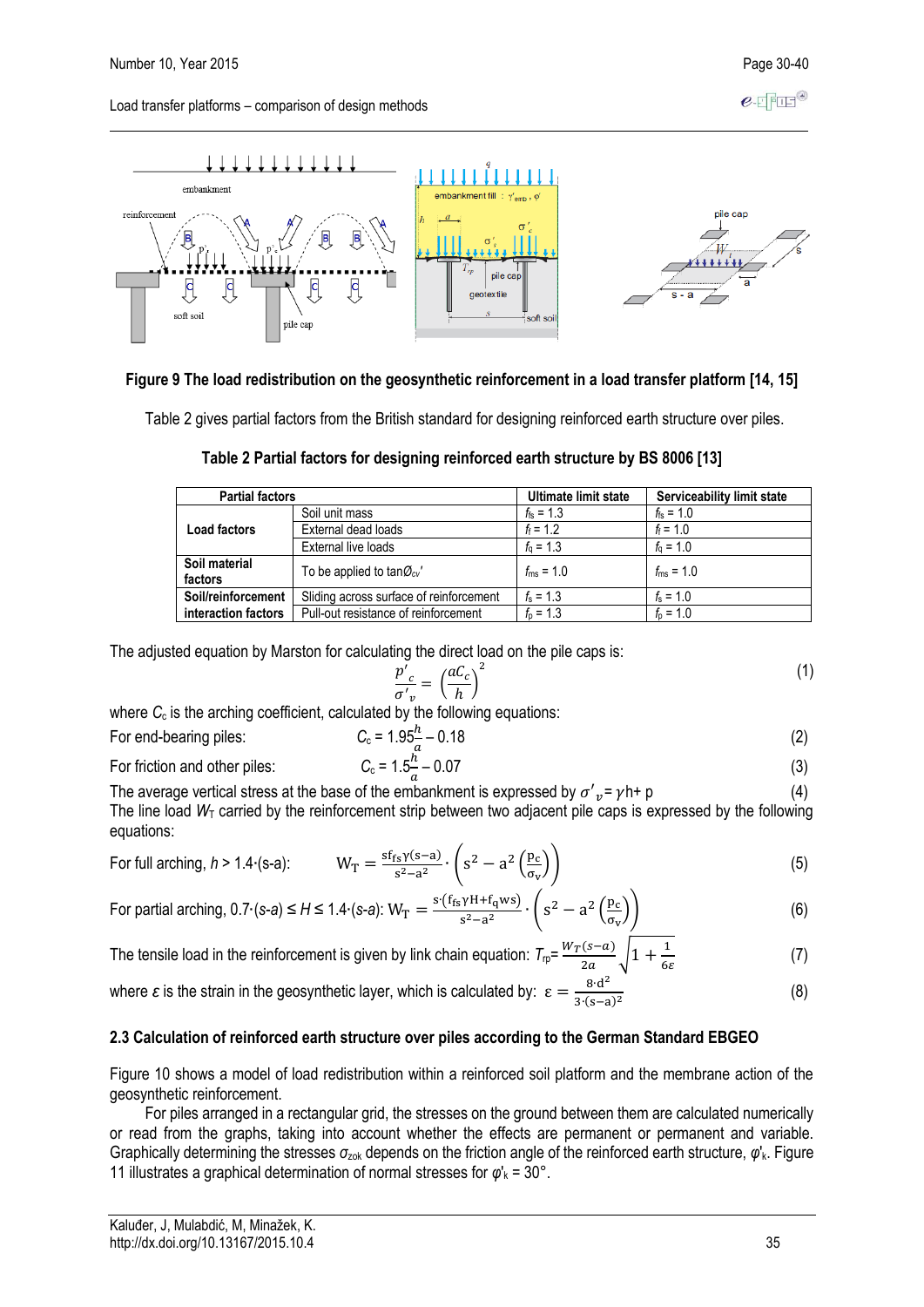

#### **Figure 9 The load redistribution on the geosynthetic reinforcement in a load transfer platform [14, 15]**

Table 2 gives partial factors from the British standard for designing reinforced earth structure over piles.

| Table 2 Partial factors for designing reinforced earth structure by BS 8006 [13] |  |
|----------------------------------------------------------------------------------|--|
|----------------------------------------------------------------------------------|--|

| <b>Partial factors</b>   |                                         | Ultimate limit state | Serviceability limit state |
|--------------------------|-----------------------------------------|----------------------|----------------------------|
|                          | Soil unit mass                          | $f_{fs} = 1.3$       | $f_{fs} = 1.0$             |
| Load factors             | External dead loads                     | $f_f = 1.2$          | $f_f = 1.0$                |
|                          | External live loads                     | $f_0 = 1.3$          | $f_0 = 1.0$                |
| Soil material<br>factors | To be applied to tan $\mathcal{O}_{cv}$ | $f_{\rm ms} = 1.0$   | $f_{\rm ms} = 1.0$         |
| Soil/reinforcement       | Sliding across surface of reinforcement | $f_s = 1.3$          | $f_s = 1.0$                |
| interaction factors      | Pull-out resistance of reinforcement    | $f_{\rm p} = 1.3$    | $f_{\rm p} = 1.0$          |

The adjusted equation by Marston for calculating the direct load on the pile caps is:

$$
\frac{p'}{\sigma'_{v}} = \left(\frac{aC_c}{h}\right)^2\tag{1}
$$

where  $C_c$  is the arching coefficient, calculated by the following equations:

For end-bearing piles:

$$
C_{c} = 1.95\frac{h}{a} - 0.18\tag{2}
$$

For friction and other piles:

For friction and other piles: 
$$
C_c = 1.5\frac{\pi}{a} - 0.07
$$
 (3)  
The average vertical stress at the base of the embankment is expressed by  $\sigma'_{v} = \gamma h + p$  (4)

The line load  $W<sub>T</sub>$  carried by the reinforcement strip between two adjacent pile caps is expressed by the following equations:

For full arching, *h* > 1.4⋅(s-a)

$$
W_{T} = \frac{sf_{rs} \gamma(s-a)}{s^{2}-a^{2}} \cdot \left( s^{2} - a^{2} \left( \frac{p_{c}}{\sigma_{v}} \right) \right)
$$
(5)

For partial arching, 
$$
0.7 \cdot (s-a) \le H \le 1.4 \cdot (s-a)
$$
:  $W_T = \frac{s \cdot (f_{fs} \gamma H + f_q w s)}{s^2 - a^2} \cdot \left( s^2 - a^2 \left( \frac{p_c}{\sigma_v} \right) \right)$  (6)

The tensile load in the reinforcement is given by link chain equation:  $T_{\text{rp}} = \frac{W_T(s-a)}{2\pi r}$  $\frac{1}{2a}$   $\sqrt{1+\frac{1}{6a}}$ 6 (7)

where  $\varepsilon$  is the strain in the geosynthetic layer, which is calculated by:  $\varepsilon = \frac{8 \cdot d^2}{3.6 \cdot \varepsilon}$ 3∙(s−a) 2 (8)

#### **2.3 Calculation of reinforced earth structure over piles according to the German Standard EBGEO**

Figure 10 shows a model of load redistribution within a reinforced soil platform and the membrane action of the geosynthetic reinforcement.

For piles arranged in a rectangular grid, the stresses on the ground between them are calculated numerically or read from the graphs, taking into account whether the effects are permanent or permanent and variable. Graphically determining the stresses *σ*zok depends on the friction angle of the reinforced earth structure, *φ*'k. Figure 11 illustrates a graphical determination of normal stresses for  $\varphi'_{k} = 30^{\circ}$ .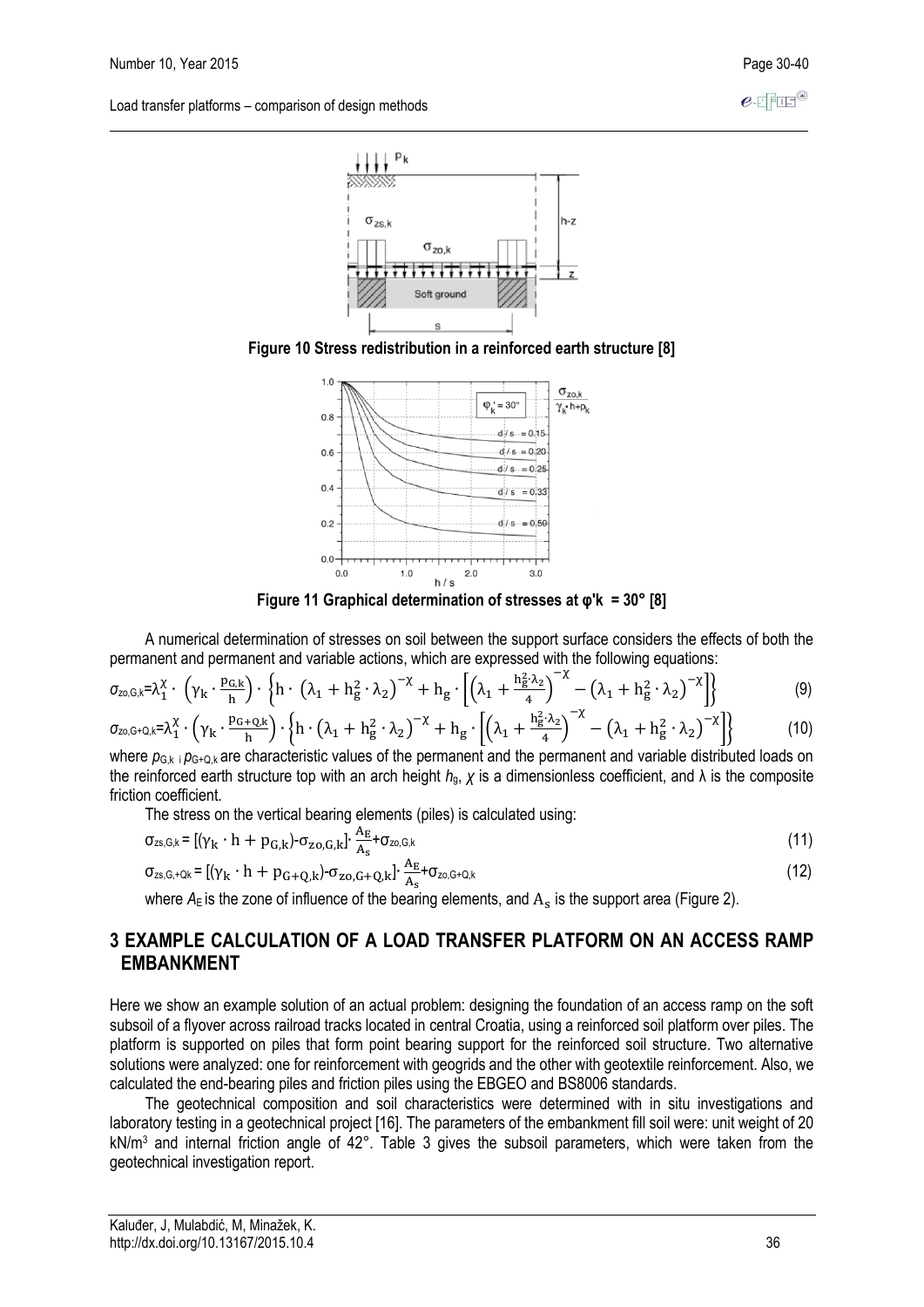





**Figure 11 Graphical determination of stresses at φ'k = 30° [8]**

A numerical determination of stresses on soil between the support surface considers the effects of both the permanent and permanent and variable actions, which are expressed with the following equations:

$$
\sigma_{z_0,\mathbf{G},k} = \lambda_1^{\chi} \cdot \left( \gamma_k \cdot \frac{p_{\mathbf{G},k}}{h} \right) \cdot \left\{ h \cdot \left( \lambda_1 + h_g^2 \cdot \lambda_2 \right)^{-\chi} + h_g \cdot \left[ \left( \lambda_1 + \frac{h_g^2 \cdot \lambda_2}{4} \right)^{-\chi} - \left( \lambda_1 + h_g^2 \cdot \lambda_2 \right)^{-\chi} \right] \right\}
$$
(9)

$$
\sigma_{z\circ, G\star Q, k} = \lambda_1^{\chi} \cdot \left( \gamma_k \cdot \frac{p_{G\star Q, k}}{h} \right) \cdot \left\{ h \cdot \left( \lambda_1 + h_g^2 \cdot \lambda_2 \right)^{-\chi} + h_g \cdot \left[ \left( \lambda_1 + \frac{h_g^2 \cdot \lambda_2}{4} \right)^{-\chi} - \left( \lambda_1 + h_g^2 \cdot \lambda_2 \right)^{-\chi} \right] \right\}
$$
(10)

where  $p_{G,k}$  i  $p_{G+Q,k}$  are characteristic values of the permanent and the permanent and variable distributed loads on the reinforced earth structure top with an arch height *h*g, *χ* is a dimensionless coefficient, and λ is the composite friction coefficient.

The stress on the vertical bearing elements (piles) is calculated using:

$$
\sigma_{zs,S,k} = \left[ (\gamma_k \cdot h + p_{G,k}) - \sigma_{zo,G,k} \right] \cdot \frac{A_E}{A_s} + \sigma_{zo,G,k} \tag{11}
$$

$$
\sigma_{zs,S,+Qk} = [(\gamma_k \cdot h + p_{G+Q,k}) - \sigma_{zo,G+Q,k}] \cdot \frac{A_E}{A_s} + \sigma_{zo,G+Q,k}
$$
(12)

where  $A_{\mathsf{E}}$  is the zone of influence of the bearing elements, and  $\mathrm{A}_{\mathrm{s}}$  is the support area (Figure 2).

## **3 EXAMPLE CALCULATION OF A LOAD TRANSFER PLATFORM ON AN ACCESS RAMP EMRANKMENT**

Here we show an example solution of an actual problem: designing the foundation of an access ramp on the soft subsoil of a flyover across railroad tracks located in central Croatia, using a reinforced soil platform over piles. The platform is supported on piles that form point bearing support for the reinforced soil structure. Two alternative solutions were analyzed: one for reinforcement with geogrids and the other with geotextile reinforcement. Also, we calculated the end-bearing piles and friction piles using the EBGEO and BS8006 standards.

The geotechnical composition and soil characteristics were determined with in situ investigations and laboratory testing in a geotechnical project [16]. The parameters of the embankment fill soil were: unit weight of 20 kN/m<sup>3</sup> and internal friction angle of 42°. Table 3 gives the subsoil parameters, which were taken from the geotechnical investigation report.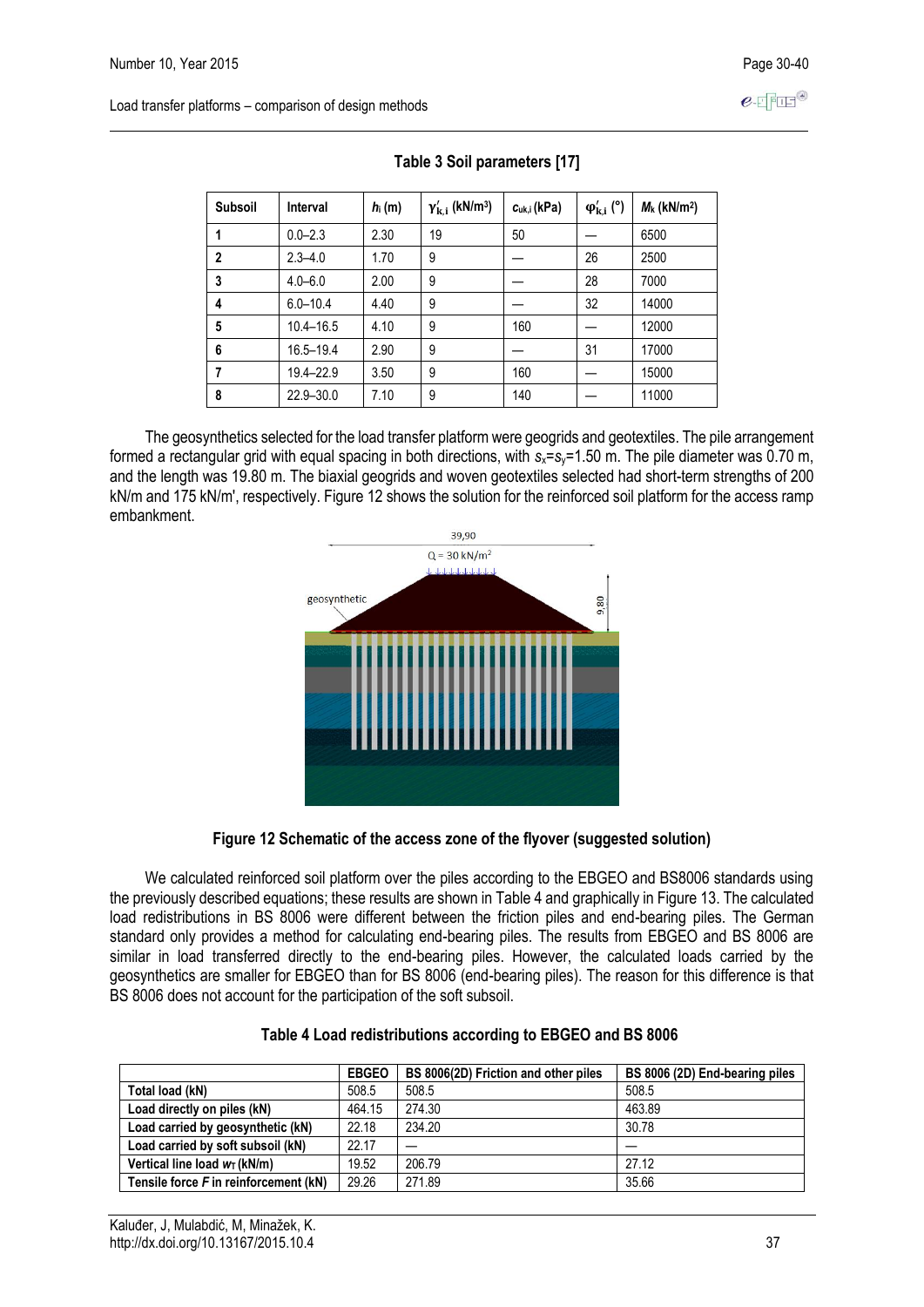| <b>Subsoil</b> | <b>Interval</b> | $h_i(m)$ | $\gamma_{\mathbf{k},\mathbf{i}}'$ (kN/m <sup>3</sup> ) | $c_{uk,i}$ (kPa) | $\varphi_{k,i}^{\prime}$ (°) | $M_k$ (kN/m <sup>2</sup> ) |
|----------------|-----------------|----------|--------------------------------------------------------|------------------|------------------------------|----------------------------|
|                | $0.0 - 2.3$     | 2.30     | 19                                                     | 50               |                              | 6500                       |
| $\mathbf{2}$   | $2.3 - 4.0$     | 1.70     | 9                                                      |                  | 26                           | 2500                       |
| 3              | $4.0 - 6.0$     | 2.00     | 9                                                      |                  | 28                           | 7000                       |
| 4              | $6.0 - 10.4$    | 4.40     | 9                                                      |                  | 32                           | 14000                      |
| 5              | $10.4 - 16.5$   | 4.10     | 9                                                      | 160              |                              | 12000                      |
| 6              | 16.5-19.4       | 2.90     | 9                                                      |                  | 31                           | 17000                      |
| 7              | 19.4-22.9       | 3.50     | 9                                                      | 160              |                              | 15000                      |
| 8              | $22.9 - 30.0$   | 7.10     | 9                                                      | 140              |                              | 11000                      |

 **Table 3 Soil parameters [17]**

The geosynthetics selected for the load transfer platform were geogrids and geotextiles. The pile arrangement formed a rectangular grid with equal spacing in both directions, with *s*x=*s*y=1.50 m. The pile diameter was 0.70 m, and the length was 19.80 m. The biaxial geogrids and woven geotextiles selected had short-term strengths of 200 kN/m and 175 kN/m', respectively. Figure 12 shows the solution for the reinforced soil platform for the access ramp embankment.



#### **Figure 12 Schematic of the access zone of the flyover (suggested solution)**

We calculated reinforced soil platform over the piles according to the EBGEO and BS8006 standards using the previously described equations; these results are shown in Table 4 and graphically in Figure 13. The calculated load redistributions in BS 8006 were different between the friction piles and end-bearing piles. The German standard only provides a method for calculating end-bearing piles. The results from EBGEO and BS 8006 are similar in load transferred directly to the end-bearing piles. However, the calculated loads carried by the geosynthetics are smaller for EBGEO than for BS 8006 (end-bearing piles). The reason for this difference is that BS 8006 does not account for the participation of the soft subsoil.

|                                       | <b>EBGEO</b> | BS 8006(2D) Friction and other piles | BS 8006 (2D) End-bearing piles |
|---------------------------------------|--------------|--------------------------------------|--------------------------------|
| Total load (kN)                       | 508.5        | 508.5                                | 508.5                          |
| Load directly on piles (kN)           | 464.15       | 274.30                               | 463.89                         |
| Load carried by geosynthetic (kN)     | 22.18        | 234.20                               | 30.78                          |
| Load carried by soft subsoil (kN)     | 22.17        |                                      |                                |
| Vertical line load $w_T$ (kN/m)       | 19.52        | 206.79                               | 27.12                          |
| Tensile force F in reinforcement (kN) | 29.26        | 271.89                               | 35.66                          |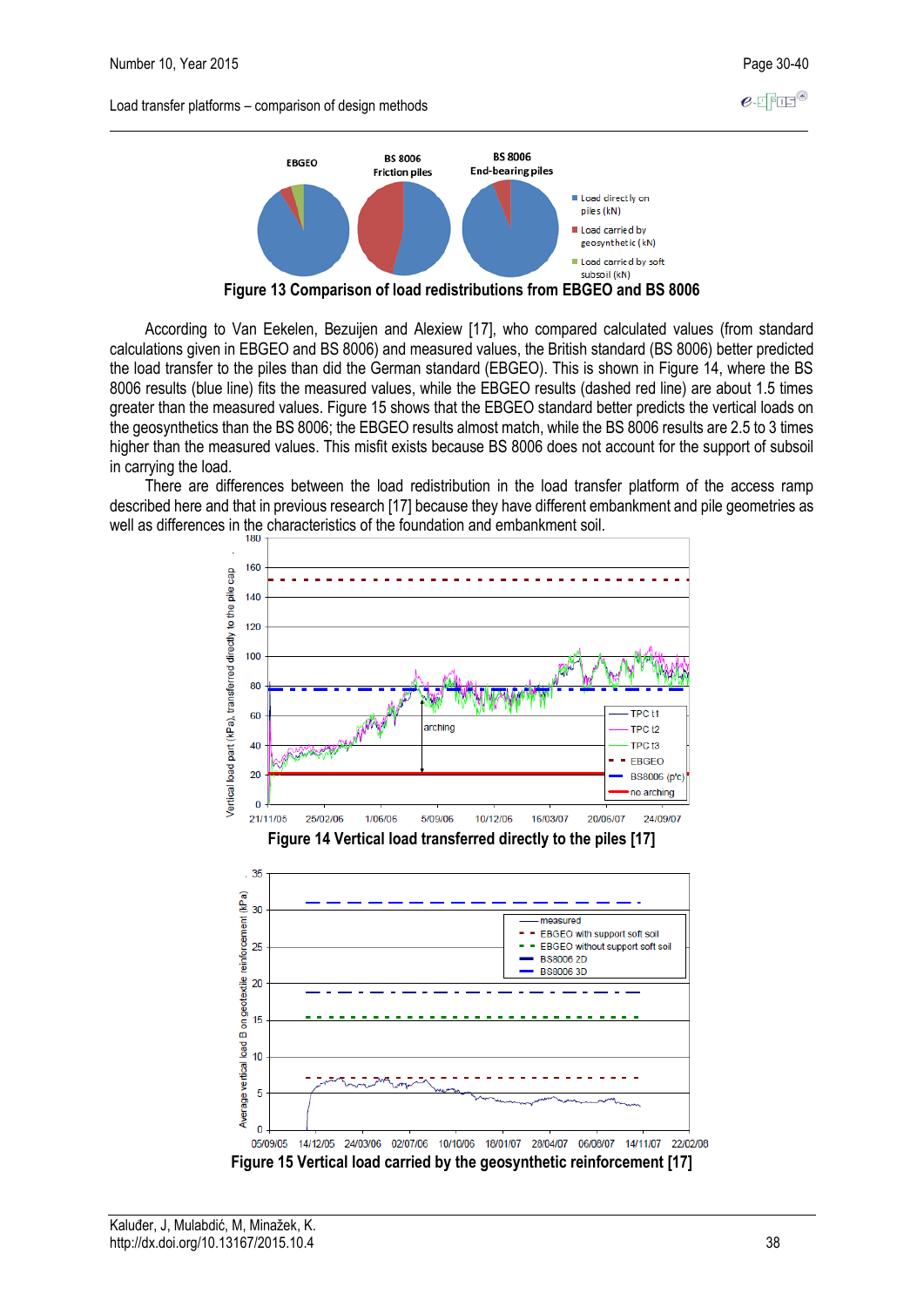$e$ -FFFF<sup>®</sup>

Load transfer platforms – comparison of design methods



**Figure 13 Comparison of load redistributions from EBGEO and BS 8006**

According to Van Eekelen, Bezuijen and Alexiew [17], who compared calculated values (from standard calculations given in EBGEO and BS 8006) and measured values, the British standard (BS 8006) better predicted the load transfer to the piles than did the German standard (EBGEO). This is shown in Figure 14, where the BS 8006 results (blue line) fits the measured values, while the EBGEO results (dashed red line) are about 1.5 times greater than the measured values. Figure 15 shows that the EBGEO standard better predicts the vertical loads on the geosynthetics than the BS 8006; the EBGEO results almost match, while the BS 8006 results are 2.5 to 3 times higher than the measured values. This misfit exists because BS 8006 does not account for the support of subsoil in carrying the load.

There are differences between the load redistribution in the load transfer platform of the access ramp described here and that in previous research [17] because they have different embankment and pile geometries as well as differences in the characteristics of the foundation and embankment soil.

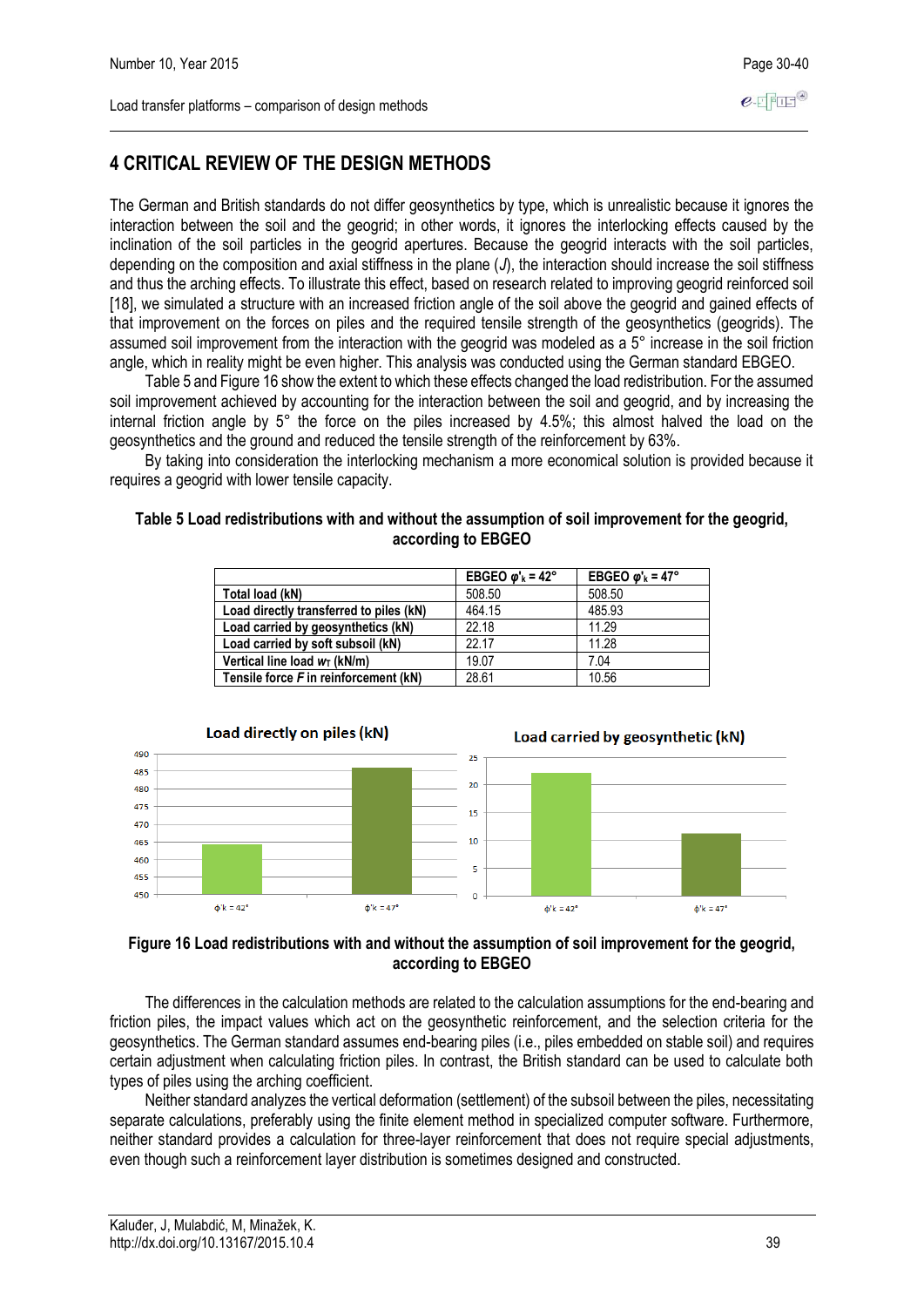# **4 CRITICAL REVIEW OF THE DESIGN METHODS**

The German and British standards do not differ geosynthetics by type, which is unrealistic because it ignores the interaction between the soil and the geogrid; in other words, it ignores the interlocking effects caused by the inclination of the soil particles in the geogrid apertures. Because the geogrid interacts with the soil particles, depending on the composition and axial stiffness in the plane (*J*), the interaction should increase the soil stiffness and thus the arching effects. To illustrate this effect, based on research related to improving geogrid reinforced soil [18], we simulated a structure with an increased friction angle of the soil above the geogrid and gained effects of that improvement on the forces on piles and the required tensile strength of the geosynthetics (geogrids). The assumed soil improvement from the interaction with the geogrid was modeled as a 5° increase in the soil friction angle, which in reality might be even higher. This analysis was conducted using the German standard EBGEO.

Table 5 and Figure 16 show the extent to which these effects changed the load redistribution. For the assumed soil improvement achieved by accounting for the interaction between the soil and geogrid, and by increasing the internal friction angle by 5° the force on the piles increased by 4.5%; this almost halved the load on the geosynthetics and the ground and reduced the tensile strength of the reinforcement by 63%.

By taking into consideration the interlocking mechanism a more economical solution is provided because it requires a geogrid with lower tensile capacity.

#### **Table 5 Load redistributions with and without the assumption of soil improvement for the geogrid, according to EBGEO**

|                                         | EBGEO $\omega$ <sup>k</sup> = 42° | EBGEO $\omega$ <sup>k</sup> = 47° |
|-----------------------------------------|-----------------------------------|-----------------------------------|
| Total load (kN)                         | 508.50                            | 508.50                            |
| Load directly transferred to piles (kN) | 464.15                            | 485.93                            |
| Load carried by geosynthetics (kN)      | 22.18                             | 11.29                             |
| Load carried by soft subsoil (kN)       | 22 17                             | 11.28                             |
| Vertical line load $w_T$ (kN/m)         | 19.07                             | 7.04                              |
| Tensile force F in reinforcement (kN)   | 28.61                             | 10.56                             |



#### **Figure 16 Load redistributions with and without the assumption of soil improvement for the geogrid, according to EBGEO**

The differences in the calculation methods are related to the calculation assumptions for the end-bearing and friction piles, the impact values which act on the geosynthetic reinforcement, and the selection criteria for the geosynthetics. The German standard assumes end-bearing piles (i.e., piles embedded on stable soil) and requires certain adjustment when calculating friction piles. In contrast, the British standard can be used to calculate both types of piles using the arching coefficient.

Neither standard analyzes the vertical deformation (settlement) of the subsoil between the piles, necessitating separate calculations, preferably using the finite element method in specialized computer software. Furthermore, neither standard provides a calculation for three-layer reinforcement that does not require special adjustments, even though such a reinforcement layer distribution is sometimes designed and constructed.